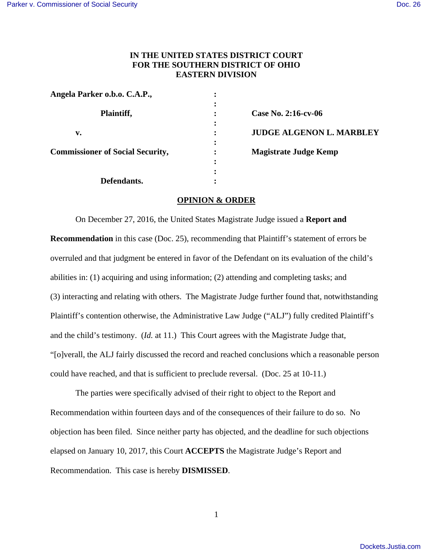## **IN THE UNITED STATES DISTRICT COURT FOR THE SOUTHERN DISTRICT OF OHIO EASTERN DIVISION**

| Angela Parker o.b.o. C.A.P.,            | ٠ |                                 |
|-----------------------------------------|---|---------------------------------|
|                                         |   |                                 |
| Plaintiff,                              | ٠ | Case No. 2:16-cv-06             |
|                                         |   |                                 |
| v.                                      |   | <b>JUDGE ALGENON L. MARBLEY</b> |
|                                         |   |                                 |
| <b>Commissioner of Social Security,</b> | ٠ | <b>Magistrate Judge Kemp</b>    |
|                                         | ٠ |                                 |
|                                         | ٠ |                                 |
| Defendants.                             |   |                                 |

## **OPINION & ORDER**

 On December 27, 2016, the United States Magistrate Judge issued a **Report and Recommendation** in this case (Doc. 25), recommending that Plaintiff's statement of errors be overruled and that judgment be entered in favor of the Defendant on its evaluation of the child's abilities in: (1) acquiring and using information; (2) attending and completing tasks; and (3) interacting and relating with others. The Magistrate Judge further found that, notwithstanding Plaintiff's contention otherwise, the Administrative Law Judge ("ALJ") fully credited Plaintiff's and the child's testimony. (*Id.* at 11.) This Court agrees with the Magistrate Judge that, "[o]verall, the ALJ fairly discussed the record and reached conclusions which a reasonable person could have reached, and that is sufficient to preclude reversal. (Doc. 25 at 10-11.)

The parties were specifically advised of their right to object to the Report and Recommendation within fourteen days and of the consequences of their failure to do so. No objection has been filed. Since neither party has objected, and the deadline for such objections elapsed on January 10, 2017, this Court **ACCEPTS** the Magistrate Judge's Report and Recommendation. This case is hereby **DISMISSED**.